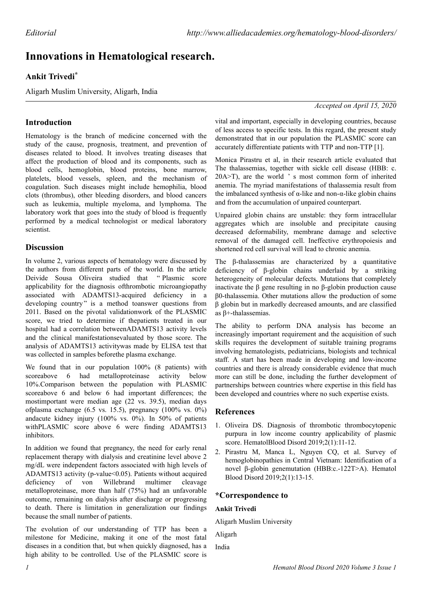# **Innovations in Hematological research.**

# **Ankit Trivedi\***

Aligarh Muslim University, Aligarh, India

*Accepted on April 15, 2020*

## **Introduction**

Hematology is the branch of medicine concerned with the study of the cause, prognosis, treatment, and prevention of diseases related to blood. It involves treating diseases that affect the production of blood and its components, such as blood cells, hemoglobin, blood proteins, bone marrow, platelets, blood vessels, spleen, and the mechanism of coagulation. Such diseases might include hemophilia, blood clots (thrombus), other bleeding disorders, and blood cancers such as leukemia, multiple myeloma, and lymphoma. The laboratory work that goes into the study of blood is frequently performed by a medical technologist or medical laboratory scientist.

## **Discussion**

In volume 2, various aspects of hematology were discussed by the authors from different parts of the world. In the article Deivide Sousa Oliveira studied that " Plasmic score applicability for the diagnosis ofthrombotic microangiopathy associated with ADAMTS13-acquired deficiency in a developing country" is a method toanswer questions from 2011. Based on the pivotal validationwork of the PLASMIC score, we tried to determine if thepatients treated in our hospital had a correlation betweenADAMTS13 activity levels and the clinical manifestationsevaluated by those score. The analysis of ADAMTS13 activitywas made by ELISA test that was collected in samples beforethe plasma exchange.

We found that in our population 100% (8 patients) with scoreabove 6 had metalloproteinase activity below 10%.Comparison between the population with PLASMIC scoreabove 6 and below 6 had important differences; the mostimportant were median age (22 vs. 39.5), median days ofplasma exchange  $(6.5 \text{ vs. } 15.5)$ , pregnancy  $(100\% \text{ vs. } 0\%)$ andacute kidney injury (100% vs. 0%). In 50% of patients withPLASMIC score above 6 were finding ADAMTS13 inhibitors.

In addition we found that pregnancy, the need for early renal replacement therapy with dialysis and creatinine level above 2 mg/dL were independent factors associated with high levels of ADAMTS13 activity (p-value < 0.05). Patients without acquired deficiency of von Willebrand multimer cleavage metalloproteinase, more than half (75%) had an unfavorable outcome, remaining on dialysis after discharge or progressing to death. There is limitation in generalization our findings because the small number of patients.

The evolution of our understanding of TTP has been a milestone for Medicine, making it one of the most fatal diseases in a condition that, but when quickly diagnosed, has a high ability to be controlled. Use of the PLASMIC score is vital and important, especially in developing countries, because of less access to specific tests. In this regard, the present study demonstrated that in our population the PLASMIC score can accurately differentiate patients with TTP and non-TTP [1].

Monica Pirastru et al, in their research article evaluated that The thalassemias, together with sickle cell disease (HBB: c. 20A>T), are the world ' s most common form of inherited anemia. The myriad manifestations of thalassemia result from the imbalanced synthesis of  $\alpha$ -like and non- $\alpha$ -like globin chains and from the accumulation of unpaired counterpart.

Unpaired globin chains are unstable: they form intracellular aggregates which are insoluble and precipitate causing decreased deformability, membrane damage and selective removal of the damaged cell. Ineffective erythropoiesis and shortened red cell survival will lead to chronic anemia.

The β-thalassemias are characterized by a quantitative deficiency of β-globin chains underlaid by a striking heterogeneity of molecular defects. Mutations that completely inactivate the β gene resulting in no β-globin production cause β0-thalassemia. Other mutations allow the production of some β globin but in markedly decreased amounts, and are classified as β+-thalassemias.

The ability to perform DNA analysis has become an increasingly important requirement and the acquisition of such skills requires the development of suitable training programs involving hematologists, pediatricians, biologists and technical staff. A start has been made in developing and low-income countries and there is already considerable evidence that much more can still be done, including the further development of partnerships between countries where expertise in this field has been developed and countries where no such expertise exists.

#### **References**

- 1. Oliveira DS. Diagnosis of thrombotic thrombocytopenic purpura in low income country applicability of plasmic score. HematolBlood Disord 2019;2(1):11-12.
- 2. Pirastru M, Manca L, Nguyen CQ, et al. Survey of hemoglobinopathies in Central Vietnam: Identification of a novel β-globin genemutation (HBB:c.-122T>A). Hematol Blood Disord 2019;2(1):13-15.

## **\*Correspondence to**

#### **Ankit Trivedi**

Aligarh Muslim University

Aligarh

India